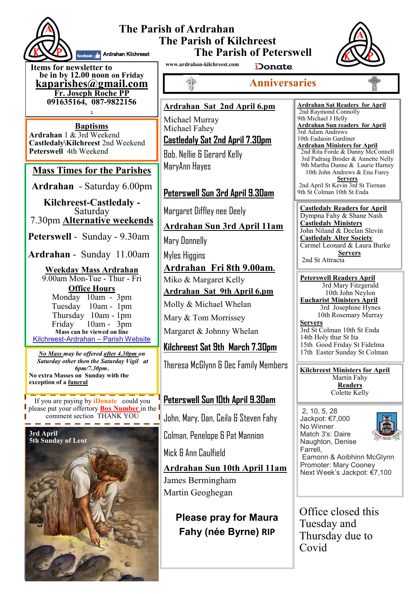

#### **The Parish of Ardrahan The Parish of Kilchreest The Parish of Peterswell** facebook **A.** Ardrahan Kilchreest



**Items for newsletter to be in by 12.00 noon on Friday [kaparishes@gmail.com](mailto:kaparish@gmail.com) Fr. Joseph Roche PP 091635164, 087-9822156 .**

**Baptisms Ardrahan** 1 & 3rd Weekend **Castledaly\Kilchreest** 2nd Weekend **Peterswell** 4th Weekend

### **Mass Times for the Parishes**

**Ardrahan** - Saturday 6.00pm

**Kilchreest-Castledaly -**  Saturday 7.30pm **Alternative weekends**

**Peterswell** - Sunday - 9.30am

**Ardrahan** - Sunday 11.00am

**Weekday Mass Ardrahan**  9.00am Mon-Tue - Thur - Fri **Office Hours**  Monday 10am - 3pm Tuesday 10am - 1pm Thursday 10am - 1pm Friday 10am - 3pm **Mass can be viewed on line**  Kilchreest-Ardrahan – Parish Website

*No Mass may be offered after 4.30pm on Saturday other then the Saturday Vigil at 6pm/7.30pm***. No extra Masses on Sunday with the exception of a funeral**

If you are paying by **iDonate** could you please put your offertory **Box Number** in the comment section THANK YOU



**www.ardrahan-kilchreest.com**

iDonate.

**Anniversaries**

### **Ardrahan Sat 2nd April 6.pm**

Michael Murray Michael Fahey **Castledaly Sat 2nd April 7.30pm**

Bob, Nellie & Gerard Kelly MaryAnn Hayes

### **Peterswell Sun 3rd April 9.30am**

Margaret Diffley nee Deely

### **Ardrahan Sun 3rd April 11am**

Mary Donnelly

Myles Higgins

**Ardrahan Fri 8th 9.00am.** Miko & Margaret Kelly **Ardrahan Sat 9th April 6.pm** Molly & Michael Whelan

Mary & Tom Morrissey

Margaret & Johnny Whelan

### **Kilchreest Sat 9th March 7.30pm**

Theresa McGlynn & Dec Family Members

## **Peterswell Sun 10th April 9.30am**

John, Mary, Dan, Ceila & Steven Fahy

Colman, Penelope & Pat Mannion

Mick & Ann Caulfield

**Ardrahan Sun 10th April 11am** James Bermingham Martin Geoghegan

**Please pray for Maura Fahy (née Byrne) RIP**

9th Michael J Helly **Ardrahan Sun readers for April** 3rd Adam Andrews 10th Eadaoin Gardiner **Ardrahan Ministers for April** 2nd Rita Forde & Danny McConnell 3rd Padraig Broder & Annette Nelly 9th Martha Dunne & Laurie Harney 10th John Andrews & Ena Furey **Servers** 2nd April St Kevin 3rd St Tiernan 9th St Colman 10th St Enda

**Ardrahan Sat Readers for April**  2nd Raymond Connolly

**Castledaly Readers for April**  Dympna Fahy & Shane Nash **Castledaly Ministers** John Niland & Declan Slevin **Castledaly Alter Society** Carmel Leonard & Laura Burke **Servers** 2nd St Attracta

**Peterswell Readers April** 3rd Mary Fitzgerald 10th John Neylon **Eucharist Ministers April** 3rd Josephine Hynes 10th Rosemary Murray

**Servers** 3rd St Colman 10th St Enda 14th Holy thur St Ita 15th Good Friday St Fidelma 17th Easter Sunday St Colman

**Kilchreest Ministers for April** Martin Fahy **Readers** Colette Kelly

2, 10, 5, 28 Jackpot: €7,000 No Winner Match 3's: Daire Naughton, Denise Farrell,



Eamonn & Aoibhinn McGlynn Promoter: Mary Cooney Next Week's Jackpot: €7,100

Office closed this Tuesday and Thursday due to Covid